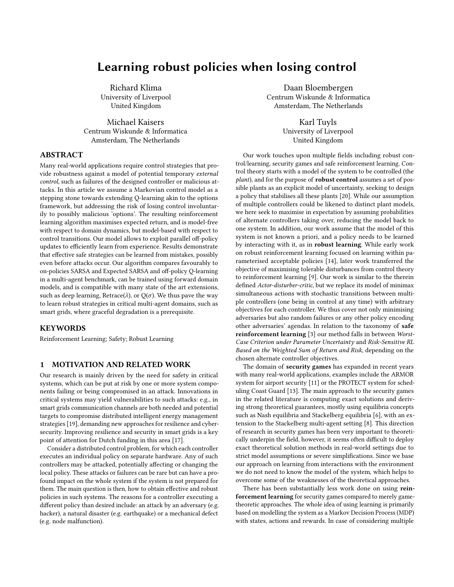# Learning robust policies when losing control

Richard Klima University of Liverpool United Kingdom

Michael Kaisers Centrum Wiskunde & Informatica Amsterdam, The Netherlands

## ABSTRACT

Many real-world applications require control strategies that provide robustness against a model of potential temporary external control, such as failures of the designed controller or malicious attacks. In this article we assume a Markovian control model as a stepping stone towards extending Q-learning akin to the options framework, but addressing the risk of losing control involuntarily to possibly malicious 'options'. The resulting reinforcement learning algorithm maximises expected return, and is model-free with respect to domain dynamics, but model-based with respect to control transitions. Our model allows to exploit parallel off-policy updates to efficiently learn from experience. Results demonstrate that effective safe strategies can be learned from mistakes, possibly even before attacks occur. Our algorithm compares favourably to on-policies SARSA and Expected SARSA and off-policy Q-learning in a multi-agent benchmark, can be trained using forward domain models, and is compatible with many state of the art extensions, such as deep learning, Retrace( $\lambda$ ), or  $O(\sigma)$ . We thus pave the way to learn robust strategies in critical multi-agent domains, such as smart grids, where graceful degradation is a prerequisite.

## **KEYWORDS**

Reinforcement Learning; Safety; Robust Learning

## 1 MOTIVATION AND RELATED WORK

Our research is mainly driven by the need for safety in critical systems, which can be put at risk by one or more system components failing or being compromised in an attack. Innovations in critical systems may yield vulnerabilities to such attacks: e.g., in smart grids communication channels are both needed and potential targets to compromise distributed intelligent energy management strategies [\[19\]](#page-6-0), demanding new approaches for resilience and cybersecurity. Improving resilience and security in smart grids is a key point of attention for Dutch funding in this area [\[17\]](#page-6-1).

Consider a distributed control problem, for which each controller executes an individual policy on separate hardware. Any of such controllers may be attacked, potentially affecting or changing the local policy. These attacks or failures can be rare but can have a profound impact on the whole system if the system is not prepared for them. The main question is then, how to obtain effective and robust policies in such systems. The reasons for a controller executing a different policy than desired include: an attack by an adversary (e.g. hacker), a natural disaster (e.g. earthquake) or a mechanical defect (e.g. node malfunction).

Daan Bloembergen Centrum Wiskunde & Informatica Amsterdam, The Netherlands

> Karl Tuyls University of Liverpool United Kingdom

Our work touches upon multiple fields including robust control/learning, security games and safe reinforcement learning. Control theory starts with a model of the system to be controlled (the plant), and for the purpose of robust control assumes a set of possible plants as an explicit model of uncertainty, seeking to design a policy that stabilises all these plants [\[20\]](#page-6-2). While our assumption of multiple controllers could be likened to distinct plant models, we here seek to maximise in expectation by assuming probabilities of alternate controllers taking over, reducing the model back to one system. In addition, our work assume that the model of this system is not known a priori, and a policy needs to be learned by interacting with it, as in robust learning. While early work on robust reinforcement learning focused on learning within parameterised acceptable policies [\[14\]](#page-6-3), later work transferred the objective of maximising tolerable disturbances from control theory to reinforcement learning [\[9\]](#page-6-4). Our work is similar to the therein defined Actor-disturber-critic, but we replace its model of minimax simultaneous actions with stochastic transitions between multiple controllers (one being in control at any time) with arbitrary objectives for each controller. We thus cover not only minimising adversaries but also random failures or any other policy encoding other adversaries' agendas. In relation to the taxonomy of safe reinforcement learning [\[3\]](#page-6-5) our method falls in between Worst-Case Criterion under Parameter Uncertainty and Risk-Sensitive RL Based on the Weighted Sum of Return and Risk, depending on the chosen alternate controller objectives.

The domain of security games has expanded in recent years with many real-world applications, examples include the ARMOR system for airport security [\[11\]](#page-6-6) or the PROTECT system for scheduling Coast Guard [\[13\]](#page-6-7). The main approach to the security games in the related literature is computing exact solutions and deriving strong theoretical guarantees, mostly using equilibria concepts such as Nash equilibria and Stackelberg equilibria [\[6\]](#page-6-8), with an extension to the Stackelberg multi-agent setting [\[8\]](#page-6-9). This direction of research in security games has been very important to theoretically underpin the field, however, it seems often difficult to deploy exact theoretical solution methods in real-world settings due to strict model assumptions or severe simplifications. Since we base our approach on learning from interactions with the environment we do not need to know the model of the system, which helps to overcome some of the weaknesses of the theoretical approaches.

There has been substantially less work done on using reinforcement learning for security games compared to merely gametheoretic approaches. The whole idea of using learning is primarily based on modelling the system as a Markov Decision Process (MDP) with states, actions and rewards. In case of considering multiple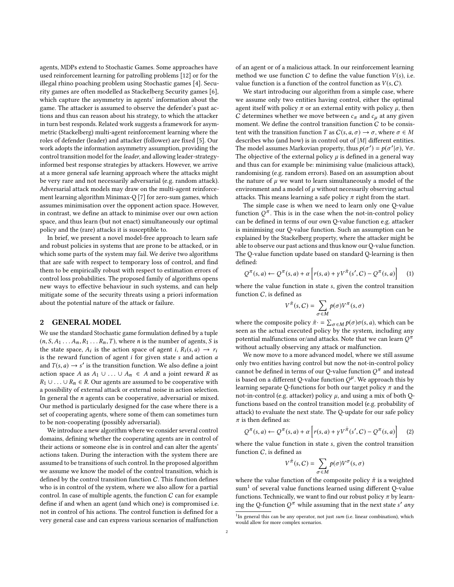agents, MDPs extend to Stochastic Games. Some approaches have used reinforcement learning for patrolling problems [\[12\]](#page-6-10) or for the illegal rhino poaching problem using Stochastic games [\[4\]](#page-6-11). Security games are often modelled as Stackelberg Security games [\[6\]](#page-6-8), which capture the asymmetry in agents' information about the game. The attacker is assumed to observe the defender's past actions and thus can reason about his strategy, to which the attacker in turn best responds. Related work suggests a framework for asymmetric (Stackelberg) multi-agent reinforcement learning where the roles of defender (leader) and attacker (follower) are fixed [\[5\]](#page-6-12). Our work adopts the information asymmetry assumption, providing the control transition model for the leader, and allowing leader-strategyinformed best response strategies by attackers. However, we arrive at a more general safe learning approach where the attacks might be very rare and not necessarily adversarial (e.g. random attack). Adversarial attack models may draw on the multi-agent reinforcement learning algorithm Minimax-Q [\[7\]](#page-6-13) for zero-sum games, which assumes minimisation over the opponent action space. However, in contrast, we define an attack to minimise over our own action space, and thus learn (but not enact) simultaneously our optimal policy and the (rare) attacks it is susceptible to.

In brief, we present a novel model-free approach to learn safe and robust policies in systems that are prone to be attacked, or in which some parts of the system may fail. We derive two algorithms that are safe with respect to temporary loss of control, and find them to be empirically robust with respect to estimation errors of control loss probabilities. The proposed family of algorithms opens new ways to effective behaviour in such systems, and can help mitigate some of the security threats using a priori information about the potential nature of the attack or failure.

### 2 GENERAL MODEL

We use the standard Stochastic game formulation defined by a tuple  $(n, S, A_1 \ldots A_n, R_1 \ldots R_n, T)$ , where *n* is the number of agents, *S* is the state space,  $A_i$  is the action space of agent i,  $R_i(s, a) \rightarrow r_i$ <br>is the reward function of agent i for given state s and action of is the reward function of agent  $i$  for given state  $s$  and action  $a$ and  $T(s, a) \rightarrow s'$  is the transition function. We also define a joint<br>action space  $A$  as  $A + \frac{1}{2}A = A$  and a joint reward  $B$  as action space A as  $A_1 \cup ... \cup A_n \in A$  and a joint reward R as  $R_1$  ∪ . . . ∪  $R_n$  ∈ R. Our agents are assumed to be cooperative with a possibility of external attack or external noise in action selection. In general the  $n$  agents can be cooperative, adversarial or mixed. Our method is particularly designed for the case where there is a set of cooperating agents, where some of them can sometimes turn to be non-cooperating (possibly adversarial).

We introduce a new algorithm where we consider several control domains, defining whether the cooperating agents are in control of their actions or someone else is in control and can alter the agents' actions taken. During the interaction with the system there are assumed to be transitions of such control. In the proposed algorithm we assume we know the model of the control transition, which is defined by the control transition function C. This function defines who is in control of the system, where we also allow for a partial control. In case of multiple agents, the function  $C$  can for example define if and when an agent (and which one) is compromised i.e. not in control of his actions. The control function is defined for a very general case and can express various scenarios of malfunction

of an agent or of a malicious attack. In our reinforcement learning method we use function  $C$  to define the value function  $V(s)$ , i.e. value function is a function of the control function as  $V(s, C)$ .

We start introducing our algorithm from a simple case, where we assume only two entities having control, either the optimal agent itself with policy  $\pi$  or an external entity with policy  $\mu$ , then C determines whether we move between  $c_{\pi}$  and  $c_{\mu}$  at any given moment. We define the control transition function  $C$  to be consistent with the transition function T as  $C(s, a, \sigma) \rightarrow \sigma$ , where  $\sigma \in M$ describes who (and how) is in control out of |M| different entities. The model assumes Markovian property, thus  $p(\sigma') = p(\sigma'|\sigma)$ ,  $\forall \sigma$ .<br>The objective of the external policy *u* is defined in a general way. The objective of the external policy  $\mu$  is defined in a general way and thus can for example be: minimising value (malicious attack), randomising (e.g. random errors). Based on an assumption about the nature of  $\mu$  we want to learn simultaneously a model of the environment and a model of  $\mu$  without necessarily observing actual attacks. This means learning a safe policy  $\pi$  right from the start.

The simple case is when we need to learn only one Q-value function  $Q^{\pi}$ . This is in the case when the not-in-control policy can be defined in terms of our own Q-value function e.g. attacker is minimising our Q-value function. Such an assumption can be explained by the Stackelberg property, where the attacker might be able to observe our past actions and thus know our Q-value function. The Q-value function update based on standard Q-learning is then defined:

$$
Q^{\pi}(s, a) \leftarrow Q^{\pi}(s, a) + \alpha \left[ r(s, a) + \gamma V^{\tilde{\pi}}(s', C) - Q^{\pi}(s, a) \right] \tag{1}
$$

where the value function in state s, given the control transition function  $C$ , is defined as

$$
V^{\tilde{\pi}}(s,C) = \sum_{\sigma \in M} p(\sigma) V^{\pi}(s,\sigma)
$$

where the composite policy  $\tilde{\pi} \cdot = \sum_{\sigma \in M} p(\sigma) \sigma(s, a)$ , which can be seen as the actual executed policy by the system including any seen as the actual executed policy by the system, including any potential malfunctions or/and attacks. Note that we can learn  $\mathcal{Q}^{\pi}$ without actually observing any attack or malfunction.

We now move to a more advanced model, where we still assume only two entities having control but now the not-in-control policy cannot be defined in terms of our Q-value function  $Q^{\pi}$  and instead is based on a different Q-value function  $Q^{\mu}$ . We approach this by learning separate Q-functions for both our target policy  $\pi$  and the not-in-control (e.g. attacker) policy  $\mu$ , and using a mix of both Qfunctions based on the control transition model (e.g. probability of attack) to evaluate the next state. The Q-update for our safe policy  $\pi$  is then defined as:

$$
Q^{\pi}(s, a) \leftarrow Q^{\pi}(s, a) + \alpha \left[ r(s, a) + \gamma V^{\tilde{\pi}}(s', C) - Q^{\pi}(s, a) \right] \tag{2}
$$

where the value function in state s, given the control transition function  $C$ , is defined as

 $\overline{V}$ 

$$
\tilde{\pi}(s, C) = \sum_{\sigma \in M} p(\sigma) V^{\sigma}(s, \sigma)
$$

 $\sigma \in M$ <br>where the value function of the composite policy  $\tilde{\pi}$  is a weighted sum<sup>[1](#page-1-0)</sup> of several value functions learned using different Q-value functions. Technically, we want to find our robust policy  $\pi$  by learning the Q-function  $Q^{\pi}$  while assuming that in the next state s' any

<span id="page-1-0"></span><sup>&</sup>lt;sup>1</sup>In general this can be any operator, not just sum (i.e. linear combination), which would allow for more complex scenarios.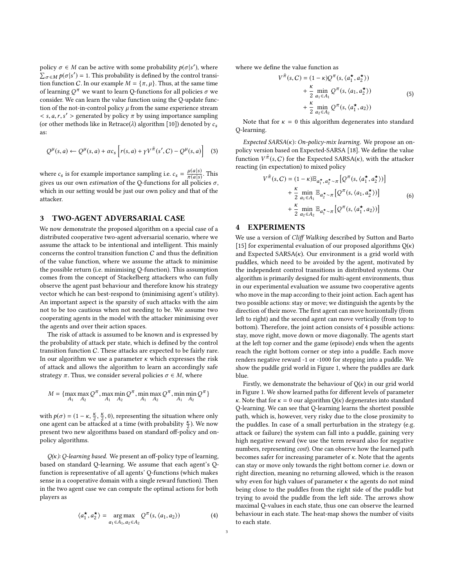policy  $\sigma \in M$  can be active with some probability  $p(\sigma | s')$ , where  $\sum_{\sigma \in M} p(\sigma | s') = 1$ . This probability is defined by the control transition function C. In our example  $M - \{ \pi, \mu \}$ . Thus, at the same time tion function C. In our example  $M = {\pi, \mu}$ . Thus, at the same time of learning  $\mathcal{Q}^{\pi}$  we want to learn Q-functions for all policies  $\sigma$  we consider. We can learn the value function using the Q-update function of the not-in-control policy  $\mu$  from the same experience stream  $\langle s, a, r, s' \rangle$  s generated by policy  $\pi$  by using importance sampling  $\langle s \rangle$  of other methods like in Betrace(1) algorithm [10]) denoted by  $c$ (or other methods like in Retrace( $\lambda$ ) algorithm [\[10\]](#page-6-14)) denoted by  $c_s$ as:

$$
Q^{\mu}(s,a) \leftarrow Q^{\mu}(s,a) + \alpha c_s \left[ r(s,a) + \gamma V^{\tilde{\pi}}(s',C) - Q^{\mu}(s,a) \right] \quad (3)
$$

where  $c_s$  is for example importance sampling i.e.  $c_s = \frac{\mu(a|s)}{\pi(a|s)}$ . This where  $c_s$  is for example importance sampling i.e.  $c_s = \frac{\pi(a|s)}{\pi(a|s)}$ . This gives us our own *estimation* of the Q-functions for all policies  $\sigma$ , which in our setting would be just our own policy and that of the attacker.

## <span id="page-2-0"></span>3 TWO-AGENT ADVERSARIAL CASE

We now demonstrate the proposed algorithm on a special case of a distributed cooperative two-agent adversarial scenario, where we assume the attack to be intentional and intelligent. This mainly concerns the control transition function  $C$  and thus the definition of the value function, where we assume the attack to minimise the possible return (i.e. minimising Q-function). This assumption comes from the concept of Stackelberg attackers who can fully observe the agent past behaviour and therefore know his strategy vector which he can best-respond to (minimising agent's utility). An important aspect is the sparsity of such attacks with the aim not to be too cautious when not needing to be. We assume two cooperating agents in the model with the attacker minimising over the agents and over their action spaces.

The risk of attack is assumed to be known and is expressed by the probability of attack per state, which is defined by the control transition function C. These attacks are expected to be fairly rare. In our algorithm we use a parameter  $\kappa$  which expresses the risk of attack and allows the algorithm to learn an accordingly safe strategy  $\pi$ . Thus, we consider several policies  $\sigma \in M$ , where

$$
M = \{ \max_{A_1} \max_{A_2} Q^{\pi}, \max_{A_1} \min_{A_2} Q^{\pi}, \min_{A_1} \max_{A_2} Q^{\pi}, \min_{A_1} \min_{A_2} Q^{\pi} \}
$$

with  $p(\sigma) = (1 - \kappa, \frac{\kappa}{2}, \frac{\kappa}{2}, 0)$ , representing the situation where only<br>one agent can be attacked at a time (with probability  $K$ ). We now one agent can be attacked at a time (with probability  $\frac{K}{2}$ ). We now present two new algorithms based on standard off-policy and onpolicy algorithms.

 $Q(\kappa)$ : Q-learning based. We present an off-policy type of learning, based on standard Q-learning. We assume that each agent's Qfunction is representative of all agents' Q-functions (which makes sense in a cooperative domain with a single reward function). Then in the two agent case we can compute the optimal actions for both players as

$$
\langle a_1^\star, a_2^\star \rangle = \underset{a_1 \in A_1, a_2 \in A_2}{\arg \max} Q^\pi(s, \langle a_1, a_2 \rangle) \tag{4}
$$

where we define the value function as

$$
V^{\tilde{\pi}}(s, C) = (1 - \kappa)Q^{\pi}(s, \langle a_1^{\star}, a_2^{\star} \rangle) + \frac{\kappa}{2} \min_{a_1 \in A_1} Q^{\pi}(s, \langle a_1, a_2^{\star} \rangle) + \frac{\kappa}{2} \min_{a_2 \in A_2} Q^{\pi}(s, \langle a_1^{\star}, a_2 \rangle)
$$
 (5)

Note that for  $\kappa = 0$  this algorithm degenerates into standard Q-learning.

Expected SARSA $(\kappa)$ : On-policy-mix learning. We propose an onpolicy version based on Expected-SARSA [\[18\]](#page-6-15). We define the value function  $V^{\tilde{\pi}}(s, C)$  for the Expected SARSA(κ), with the attacker reacting (in expectation) to mixed policy

$$
V^{\tilde{\pi}}(s, C) = (1 - \kappa) \mathbb{E}_{a_1^{\star}, a_2^{\star} \sim \pi} \left[ Q^{\pi}(s, \langle a_1^{\star}, a_2^{\star} \rangle) \right] + \frac{\kappa}{2} \min_{a_1 \in A_1} \mathbb{E}_{a_2^{\star} \sim \pi} \left[ Q^{\pi}(s, \langle a_1, a_2^{\star} \rangle) \right] + \frac{\kappa}{2} \min_{a_2 \in A_2} \mathbb{E}_{a_1^{\star} \sim \pi} \left[ Q^{\pi}(s, \langle a_1^{\star}, a_2 \rangle) \right]
$$
(6)

#### 4 EXPERIMENTS

We use a version of Cliff Walking described by Sutton and Barto [\[15\]](#page-6-16) for experimental evaluation of our proposed algorithms  $Q(\kappa)$ and Expected  $SARSA(\kappa)$ . Our environment is a grid world with puddles, which need to be avoided by the agent, motivated by the independent control transitions in distributed systems. Our algorithm is primarily designed for multi-agent environments, thus in our experimental evaluation we assume two cooperative agents who move in the map according to their joint action. Each agent has two possible actions: stay or move; we distinguish the agents by the direction of their move. The first agent can move horizontally (from left to right) and the second agent can move vertically (from top to bottom). Therefore, the joint action consists of 4 possible actions: stay, move right, move down or move diagonally. The agents start at the left top corner and the game (episode) ends when the agents reach the right bottom corner or step into a puddle. Each move renders negative reward -1 or -1000 for stepping into a puddle. We show the puddle grid world in Figure [1,](#page-3-0) where the puddles are dark blue.

Firstly, we demonstrate the behaviour of  $Q(\kappa)$  in our grid world in Figure [1.](#page-3-0) We show learned paths for different levels of parameter κ. Note that for  $\kappa = 0$  our algorithm  $Q(\kappa)$  degenerates into standard Q-learning. We can see that Q-learning learns the shortest possible path, which is, however, very risky due to the close proximity to the puddles. In case of a small perturbation in the strategy (e.g. attack or failure) the system can fall into a puddle, gaining very high negative reward (we use the term reward also for negative numbers, representing cost). One can observe how the learned path becomes safer for increasing parameter of  $\kappa$ . Note that the agents can stay or move only towards the right bottom corner i.e. down or right direction, meaning no returning allowed, which is the reason why even for high values of parameter  $\kappa$  the agents do not mind being close to the puddles from the right side of the puddle but trying to avoid the puddle from the left side. The arrows show maximal Q-values in each state, thus one can observe the learned behaviour in each state. The heat-map shows the number of visits to each state.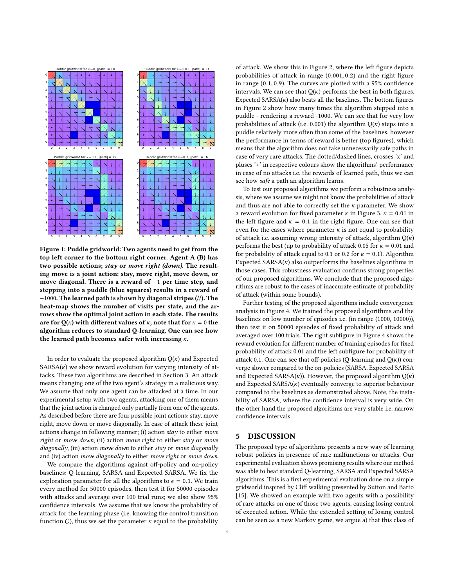<span id="page-3-0"></span>

Figure 1: Puddle gridworld: Two agents need to get from the top left corner to the bottom right corner. Agent A (B) has two possible actions; stay or move right (down). The resulting move is a joint action: stay, move right, move down, or move diagonal. There is a reward of −1 per time step, and stepping into a puddle (blue squares) results in a reward of −1000. The learned path is shown by diagonal stripes (//). The heat-map shows the number of visits per state, and the arrows show the optimal joint action in each state. The results are for  $Q(\kappa)$  with different values of  $\kappa$ ; note that for  $\kappa = 0$  the algorithm reduces to standard Q-learning. One can see how the learned path becomes safer with increasing  $\kappa$ .

In order to evaluate the proposed algorithm  $Q(\kappa)$  and Expected  $SARSA(x)$  we show reward evolution for varying intensity of attacks. These two algorithms are described in Section [3.](#page-2-0) An attack means changing one of the two agent's strategy in a malicious way. We assume that only one agent can be attacked at a time. In our experimental setup with two agents, attacking one of them means that the joint action is changed only partially from one of the agents. As described before there are four possible joint actions: stay, move right, move down or move diagonally. In case of attack these joint actions change in following manner; (i) action stay to either move right or move down, (ii) action move right to either stay or move diagonally, (iii) action move down to either stay or move diagonally and (iv) action move diagonally to either move right or move down.

We compare the algorithms against off-policy and on-policy baselines: Q-learning, SARSA and Expected SARSA. We fix the exploration parameter for all the algorithms to  $\epsilon = 0.1$ . We train every method for 50000 episodes, then test it for 50000 episodes with attacks and average over 100 trial runs; we also show 95% confidence intervals. We assume that we know the probability of attack for the learning phase (i.e. knowing the control transition function  $C$ ), thus we set the parameter  $\kappa$  equal to the probability of attack. We show this in Figure [2,](#page-4-0) where the left figure depicts probabilities of attack in range (0.001, <sup>0</sup>.2) and the right figure in range (0.1, <sup>0</sup>.9). The curves are plotted with a 95% confidence intervals. We can see that  $Q(\kappa)$  performs the best in both figures, Expected  $SARSA(\kappa)$  also beats all the baselines. The bottom figures in Figure [2](#page-4-0) show how many times the algorithm stepped into a puddle - rendering a reward -1000. We can see that for very low probabilities of attack (i.e. 0.001) the algorithm  $Q(\kappa)$  steps into a puddle relatively more often than some of the baselines, however the performance in terms of reward is better (top figures), which means that the algorithm does not take unnecessarily safe paths in case of very rare attacks. The dotted/dashed lines, crosses 'x' and pluses '+' in respective colours show the algorithms' performance in case of no attacks i.e. the rewards of learned path, thus we can see how safe a path an algorithm learns.

To test our proposed algorithms we perform a robustness analysis, where we assume we might not know the probabilities of attack and thus are not able to correctly set the  $\kappa$  parameter. We show a reward evolution for fixed parameter  $\kappa$  in Figure [3,](#page-4-1)  $\kappa = 0.01$  in the left figure and  $\kappa = 0.1$  in the right figure. One can see that even for the cases where parameter  $\kappa$  is not equal to probability of attack i.e. assuming wrong intensity of attack, algorithm  $Q(\kappa)$ performs the best (up to probability of attack 0.05 for  $\kappa = 0.01$  and for probability of attack equal to 0.1 or 0.2 for  $\kappa = 0.1$ ). Algorithm Expected  $SARSA(\kappa)$  also outperforms the baselines algorithms in those cases. This robustness evaluation confirms strong properties of our proposed algorithms. We conclude that the proposed algorithms are robust to the cases of inaccurate estimate of probability of attack (within some bounds).

Further testing of the proposed algorithms include convergence analysis in Figure [4.](#page-5-0) We trained the proposed algorithms and the baselines on low number of episodes i.e. (in range (1000, 10000)), then test it on 50000 episodes of fixed probability of attack and averaged over 100 trials. The right subfigure in Figure [4](#page-5-0) shows the reward evolution for different number of training episodes for fixed probability of attack 0.01 and the left subfigure for probability of attack 0.1. One can see that off-policies (Q-learning and  $Q(\kappa)$ ) converge slower compared to the on-policies (SARSA, Expected SARSA and Expected SARSA( $\kappa$ )). However, the proposed algorithm  $Q(\kappa)$ and Expected  $SARSA(\kappa)$  eventually converge to superior behaviour compared to the baselines as demonstrated above. Note, the instability of SARSA, where the confidence interval is very wide. On the other hand the proposed algorithms are very stable i.e. narrow confidence intervals.

# 5 DISCUSSION

The proposed type of algorithms presents a new way of learning robust policies in presence of rare malfunctions or attacks. Our experimental evaluation shows promising results where our method was able to beat standard Q-learning, SARSA and Expected SARSA algorithms. This is a first experimental evaluation done on a simple gridworld inspired by Cliff walking presented by Sutton and Barto [\[15\]](#page-6-16). We showed an example with two agents with a possibility of rare attacks on one of those two agents, causing losing control of executed action. While the extended setting of losing control can be seen as a new Markov game, we argue a) that this class of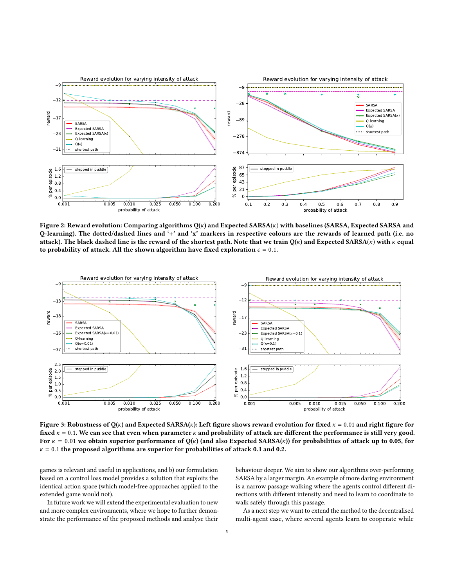<span id="page-4-0"></span>

Figure 2: Reward evolution: Comparing algorithms  $Q(x)$  and Expected SARSA( $x$ ) with baselines (SARSA, Expected SARSA and Q-learning). The dotted/dashed lines and '+' and 'x' markers in respective colours are the rewards of learned path (i.e. no attack). The black dashed line is the reward of the shortest path. Note that we train  $Q(k)$  and Expected SARSA( $k$ ) with  $k$  equal to probability of attack. All the shown algorithm have fixed exploration  $\epsilon = 0.1$ .

<span id="page-4-1"></span>

Figure 3: Robustness of Q(κ) and Expected SARSA(κ): Left figure shows reward evolution for fixed  $\kappa = 0.01$  and right figure for fixed  $\kappa = 0.1$ . We can see that even when parameter  $\kappa$  and probability of attack are different the performance is still very good. For  $\kappa = 0.01$  we obtain superior performance of  $Q(\kappa)$  (and also Expected SARSA( $\kappa$ )) for probabilities of attack up to 0.05, for  $\kappa = 0.1$  the proposed algorithms are superior for probabilities of attack 0.1 and 0.2.

games is relevant and useful in applications, and b) our formulation based on a control loss model provides a solution that exploits the identical action space (which model-free approaches applied to the extended game would not).

In future work we will extend the experimental evaluation to new and more complex environments, where we hope to further demonstrate the performance of the proposed methods and analyse their behaviour deeper. We aim to show our algorithms over-performing SARSA by a larger margin. An example of more daring environment is a narrow passage walking where the agents control different directions with different intensity and need to learn to coordinate to walk safely through this passage.

As a next step we want to extend the method to the decentralised multi-agent case, where several agents learn to cooperate while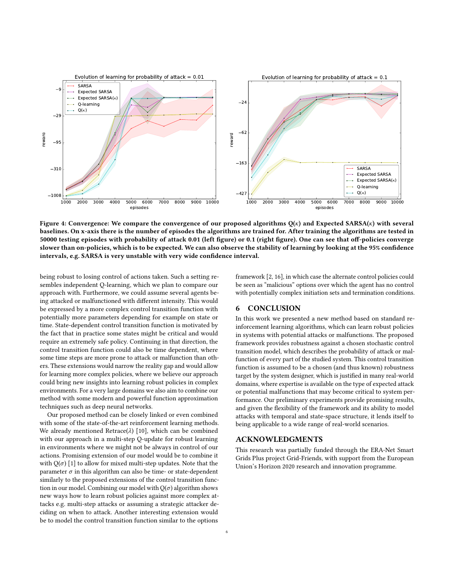<span id="page-5-0"></span>

Figure 4: Convergence: We compare the convergence of our proposed algorithms  $Q(k)$  and Expected SARSA( $k$ ) with several baselines. On x-axis there is the number of episodes the algorithms are trained for. After training the algorithms are tested in 50000 testing episodes with probability of attack 0.01 (left figure) or 0.1 (right figure). One can see that off-policies converge slower than on-policies, which is to be expected. We can also observe the stability of learning by looking at the 95% confidence intervals, e.g. SARSA is very unstable with very wide confidence interval.

being robust to losing control of actions taken. Such a setting resembles independent Q-learning, which we plan to compare our approach with. Furthermore, we could assume several agents being attacked or malfunctioned with different intensity. This would be expressed by a more complex control transition function with potentially more parameters depending for example on state or time. State-dependent control transition function is motivated by the fact that in practice some states might be critical and would require an extremely safe policy. Continuing in that direction, the control transition function could also be time dependent, where some time steps are more prone to attack or malfunction than others. These extensions would narrow the reality gap and would allow for learning more complex policies, where we believe our approach could bring new insights into learning robust policies in complex environments. For a very large domains we also aim to combine our method with some modern and powerful function approximation techniques such as deep neural networks.

Our proposed method can be closely linked or even combined with some of the state-of-the-art reinforcement learning methods. We already mentioned  $Retrace(\lambda)$  [\[10\]](#page-6-14), which can be combined with our approach in a multi-step Q-update for robust learning in environments where we might not be always in control of our actions. Promising extension of our model would be to combine it with  $Q(\sigma)$  [\[1\]](#page-6-17) to allow for mixed multi-step updates. Note that the parameter  $\sigma$  in this algorithm can also be time- or state-dependent similarly to the proposed extensions of the control transition function in our model. Combining our model with  $Q(\sigma)$  algorithm shows new ways how to learn robust policies against more complex attacks e.g. multi-step attacks or assuming a strategic attacker deciding on when to attack. Another interesting extension would be to model the control transition function similar to the options

framework [\[2,](#page-6-18) [16\]](#page-6-19), in which case the alternate control policies could be seen as "malicious" options over which the agent has no control with potentially complex initiation sets and termination conditions.

# 6 CONCLUSION

In this work we presented a new method based on standard reinforcement learning algorithms, which can learn robust policies in systems with potential attacks or malfunctions. The proposed framework provides robustness against a chosen stochastic control transition model, which describes the probability of attack or malfunction of every part of the studied system. This control transition function is assumed to be a chosen (and thus known) robustness target by the system designer, which is justified in many real-world domains, where expertise is available on the type of expected attack or potential malfunctions that may become critical to system performance. Our preliminary experiments provide promising results, and given the flexibility of the framework and its ability to model attacks with temporal and state-space structure, it lends itself to being applicable to a wide range of real-world scenarios.

#### ACKNOWLEDGMENTS

This research was partially funded through the ERA-Net Smart Grids Plus project Grid-Friends, with support from the European Union's Horizon 2020 research and innovation programme.